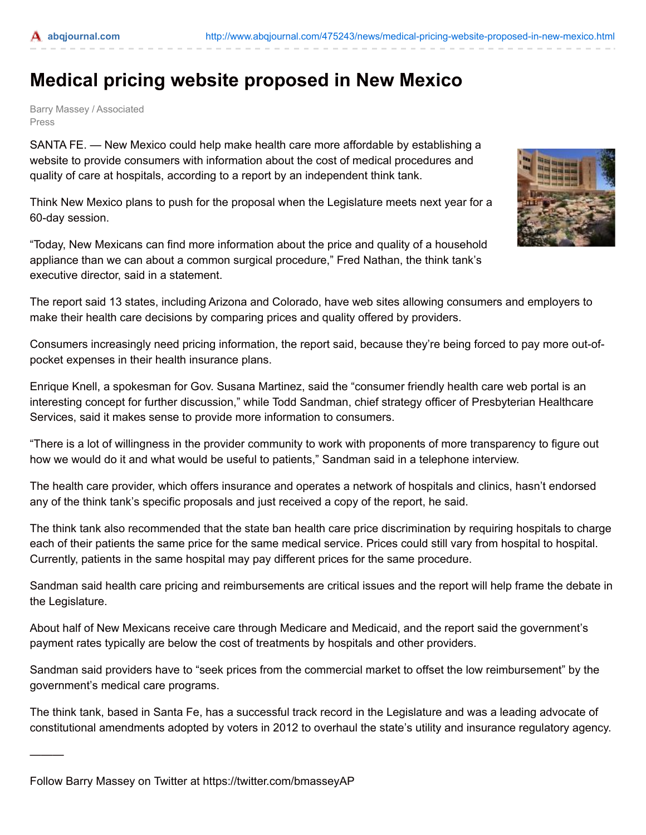## **Medical pricing website proposed in New Mexico**

Barry Massey / Associated Press

SANTA FE. — New Mexico could help make health care more affordable by establishing a website to provide consumers with information about the cost of medical procedures and quality of care at hospitals, according to a report by an independent think tank.

Think New Mexico plans to push for the proposal when the Legislature meets next year for a 60-day session.

"Today, New Mexicans can find more information about the price and quality of a household appliance than we can about a common surgical procedure," Fred Nathan, the think tank's executive director, said in a statement.



The report said 13 states, including Arizona and Colorado, have web sites allowing consumers and employers to make their health care decisions by comparing prices and quality offered by providers.

Consumers increasingly need pricing information, the report said, because they're being forced to pay more out-ofpocket expenses in their health insurance plans.

Enrique Knell, a spokesman for Gov. Susana Martinez, said the "consumer friendly health care web portal is an interesting concept for further discussion," while Todd Sandman, chief strategy officer of Presbyterian Healthcare Services, said it makes sense to provide more information to consumers.

"There is a lot of willingness in the provider community to work with proponents of more transparency to figure out how we would do it and what would be useful to patients," Sandman said in a telephone interview.

The health care provider, which offers insurance and operates a network of hospitals and clinics, hasn't endorsed any of the think tank's specific proposals and just received a copy of the report, he said.

The think tank also recommended that the state ban health care price discrimination by requiring hospitals to charge each of their patients the same price for the same medical service. Prices could still vary from hospital to hospital. Currently, patients in the same hospital may pay different prices for the same procedure.

Sandman said health care pricing and reimbursements are critical issues and the report will help frame the debate in the Legislature.

About half of New Mexicans receive care through Medicare and Medicaid, and the report said the government's payment rates typically are below the cost of treatments by hospitals and other providers.

Sandman said providers have to "seek prices from the commercial market to offset the low reimbursement" by the government's medical care programs.

The think tank, based in Santa Fe, has a successful track record in the Legislature and was a leading advocate of constitutional amendments adopted by voters in 2012 to overhaul the state's utility and insurance regulatory agency.

———

Follow Barry Massey on Twitter at https://twitter.com/bmasseyAP